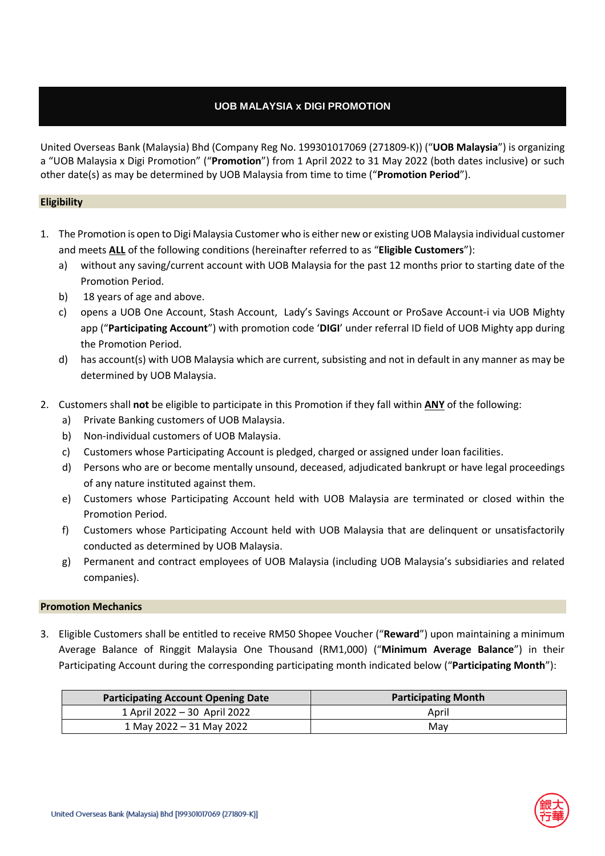# **UOB MALAYSIA x DIGI PROMOTION**

United Overseas Bank (Malaysia) Bhd (Company Reg No. 199301017069 (271809-K)) ("**UOB Malaysia**") is organizing a "UOB Malaysia x Digi Promotion" ("**Promotion**") from 1 April 2022 to 31 May 2022 (both dates inclusive) or such other date(s) as may be determined by UOB Malaysia from time to time ("**Promotion Period**").

### **Eligibility**

- 1. The Promotion is open to Digi Malaysia Customer who is either new or existing UOB Malaysia individual customer and meets **ALL** of the following conditions (hereinafter referred to as "**Eligible Customers**"):
	- a) without any saving/current account with UOB Malaysia for the past 12 months prior to starting date of the Promotion Period.
	- b) 18 years of age and above.
	- c) opens a UOB One Account, Stash Account, Lady's Savings Account or ProSave Account-i via UOB Mighty app ("**Participating Account**") with promotion code '**DIGI**' under referral ID field of UOB Mighty app during the Promotion Period.
	- d) has account(s) with UOB Malaysia which are current, subsisting and not in default in any manner as may be determined by UOB Malaysia.
- 2. Customers shall **not** be eligible to participate in this Promotion if they fall within **ANY** of the following:
	- a) Private Banking customers of UOB Malaysia.
	- b) Non-individual customers of UOB Malaysia.
	- c) Customers whose Participating Account is pledged, charged or assigned under loan facilities.
	- d) Persons who are or become mentally unsound, deceased, adjudicated bankrupt or have legal proceedings of any nature instituted against them.
	- e) Customers whose Participating Account held with UOB Malaysia are terminated or closed within the Promotion Period.
	- f) Customers whose Participating Account held with UOB Malaysia that are delinquent or unsatisfactorily conducted as determined by UOB Malaysia.
	- g) Permanent and contract employees of UOB Malaysia (including UOB Malaysia's subsidiaries and related companies).

#### **Promotion Mechanics**

3. Eligible Customers shall be entitled to receive RM50 Shopee Voucher ("**Reward**") upon maintaining a minimum Average Balance of Ringgit Malaysia One Thousand (RM1,000) ("**Minimum Average Balance**") in their Participating Account during the corresponding participating month indicated below ("**Participating Month**"):

| <b>Participating Account Opening Date</b> | <b>Participating Month</b> |
|-------------------------------------------|----------------------------|
| 1 April 2022 - 30 April 2022              | April                      |
| 1 May 2022 – 31 May 2022                  | Mav                        |

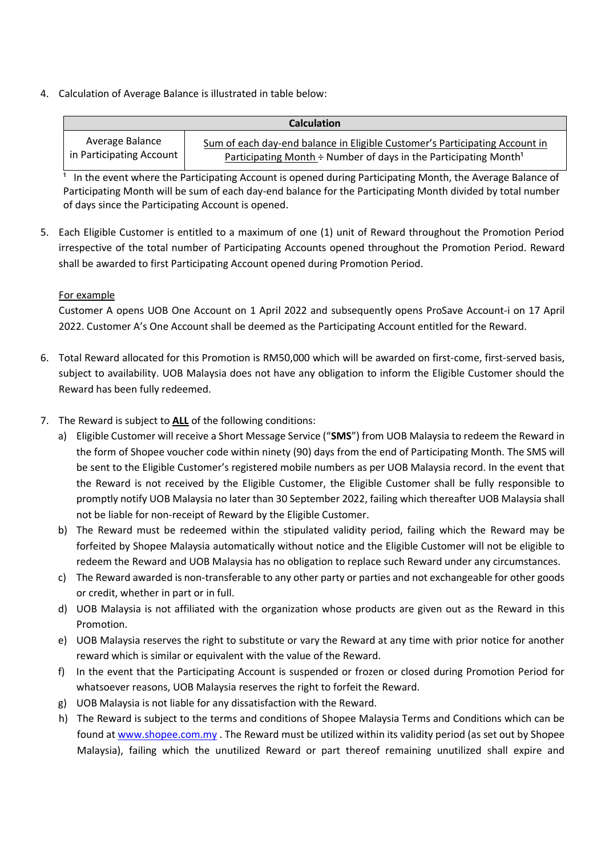4. Calculation of Average Balance is illustrated in table below:

| <b>Calculation</b>       |                                                                              |  |
|--------------------------|------------------------------------------------------------------------------|--|
| Average Balance          | Sum of each day-end balance in Eligible Customer's Participating Account in  |  |
| in Participating Account | Participating Month ÷ Number of days in the Participating Month <sup>1</sup> |  |

In the event where the Participating Account is opened during Participating Month, the Average Balance of Participating Month will be sum of each day-end balance for the Participating Month divided by total number of days since the Participating Account is opened.

5. Each Eligible Customer is entitled to a maximum of one (1) unit of Reward throughout the Promotion Period irrespective of the total number of Participating Accounts opened throughout the Promotion Period. Reward shall be awarded to first Participating Account opened during Promotion Period.

## For example

Customer A opens UOB One Account on 1 April 2022 and subsequently opens ProSave Account-i on 17 April 2022. Customer A's One Account shall be deemed as the Participating Account entitled for the Reward.

- 6. Total Reward allocated for this Promotion is RM50,000 which will be awarded on first-come, first-served basis, subject to availability. UOB Malaysia does not have any obligation to inform the Eligible Customer should the Reward has been fully redeemed.
- 7. The Reward is subject to **ALL** of the following conditions:
	- a) Eligible Customer will receive a Short Message Service ("**SMS**") from UOB Malaysia to redeem the Reward in the form of Shopee voucher code within ninety (90) days from the end of Participating Month. The SMS will be sent to the Eligible Customer's registered mobile numbers as per UOB Malaysia record. In the event that the Reward is not received by the Eligible Customer, the Eligible Customer shall be fully responsible to promptly notify UOB Malaysia no later than 30 September 2022, failing which thereafter UOB Malaysia shall not be liable for non-receipt of Reward by the Eligible Customer.
	- b) The Reward must be redeemed within the stipulated validity period, failing which the Reward may be forfeited by Shopee Malaysia automatically without notice and the Eligible Customer will not be eligible to redeem the Reward and UOB Malaysia has no obligation to replace such Reward under any circumstances.
	- c) The Reward awarded is non-transferable to any other party or parties and not exchangeable for other goods or credit, whether in part or in full.
	- d) UOB Malaysia is not affiliated with the organization whose products are given out as the Reward in this Promotion.
	- e) UOB Malaysia reserves the right to substitute or vary the Reward at any time with prior notice for another reward which is similar or equivalent with the value of the Reward.
	- f) In the event that the Participating Account is suspended or frozen or closed during Promotion Period for whatsoever reasons, UOB Malaysia reserves the right to forfeit the Reward.
	- g) UOB Malaysia is not liable for any dissatisfaction with the Reward.
	- h) The Reward is subject to the terms and conditions of Shopee Malaysia Terms and Conditions which can be found at [www.shopee.com.my](http://www.shopee.com.my/) . The Reward must be utilized within its validity period (as set out by Shopee Malaysia), failing which the unutilized Reward or part thereof remaining unutilized shall expire and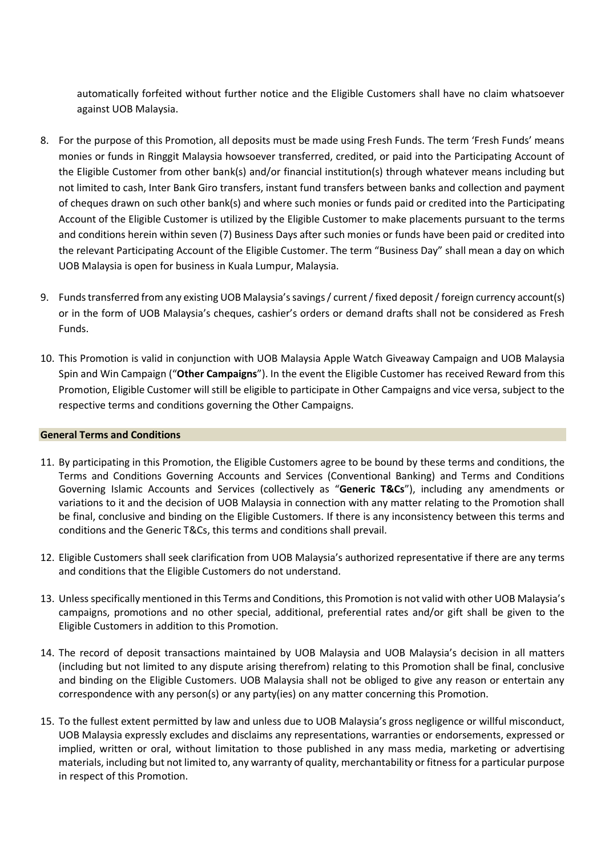automatically forfeited without further notice and the Eligible Customers shall have no claim whatsoever against UOB Malaysia.

- 8. For the purpose of this Promotion, all deposits must be made using Fresh Funds. The term 'Fresh Funds' means monies or funds in Ringgit Malaysia howsoever transferred, credited, or paid into the Participating Account of the Eligible Customer from other bank(s) and/or financial institution(s) through whatever means including but not limited to cash, Inter Bank Giro transfers, instant fund transfers between banks and collection and payment of cheques drawn on such other bank(s) and where such monies or funds paid or credited into the Participating Account of the Eligible Customer is utilized by the Eligible Customer to make placements pursuant to the terms and conditions herein within seven (7) Business Days after such monies or funds have been paid or credited into the relevant Participating Account of the Eligible Customer. The term "Business Day" shall mean a day on which UOB Malaysia is open for business in Kuala Lumpur, Malaysia.
- 9. Funds transferred from any existing UOB Malaysia's savings / current / fixed deposit / foreign currency account(s) or in the form of UOB Malaysia's cheques, cashier's orders or demand drafts shall not be considered as Fresh Funds.
- 10. This Promotion is valid in conjunction with UOB Malaysia Apple Watch Giveaway Campaign and UOB Malaysia Spin and Win Campaign ("**Other Campaigns**"). In the event the Eligible Customer has received Reward from this Promotion, Eligible Customer will still be eligible to participate in Other Campaigns and vice versa, subject to the respective terms and conditions governing the Other Campaigns.

#### **General Terms and Conditions**

- 11. By participating in this Promotion, the Eligible Customers agree to be bound by these terms and conditions, the Terms and Conditions Governing Accounts and Services (Conventional Banking) and Terms and Conditions Governing Islamic Accounts and Services (collectively as "**Generic T&Cs**"), including any amendments or variations to it and the decision of UOB Malaysia in connection with any matter relating to the Promotion shall be final, conclusive and binding on the Eligible Customers. If there is any inconsistency between this terms and conditions and the Generic T&Cs, this terms and conditions shall prevail.
- 12. Eligible Customers shall seek clarification from UOB Malaysia's authorized representative if there are any terms and conditions that the Eligible Customers do not understand.
- 13. Unless specifically mentioned in this Terms and Conditions, this Promotion is not valid with other UOB Malaysia's campaigns, promotions and no other special, additional, preferential rates and/or gift shall be given to the Eligible Customers in addition to this Promotion.
- 14. The record of deposit transactions maintained by UOB Malaysia and UOB Malaysia's decision in all matters (including but not limited to any dispute arising therefrom) relating to this Promotion shall be final, conclusive and binding on the Eligible Customers. UOB Malaysia shall not be obliged to give any reason or entertain any correspondence with any person(s) or any party(ies) on any matter concerning this Promotion.
- 15. To the fullest extent permitted by law and unless due to UOB Malaysia's gross negligence or willful misconduct, UOB Malaysia expressly excludes and disclaims any representations, warranties or endorsements, expressed or implied, written or oral, without limitation to those published in any mass media, marketing or advertising materials, including but not limited to, any warranty of quality, merchantability or fitness for a particular purpose in respect of this Promotion.